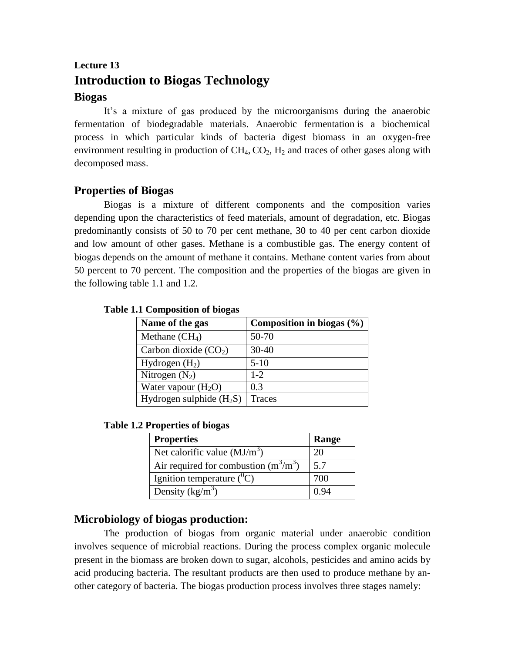# **Lecture 13 Introduction to Biogas Technology Biogas**

It's a mixture of gas produced by the microorganisms during the anaerobic fermentation of biodegradable materials. Anaerobic fermentation is a biochemical process in which particular kinds of bacteria digest biomass in an oxygen-free environment resulting in production of  $CH_4$ ,  $CO_2$ ,  $H_2$  and traces of other gases along with decomposed mass.

# **Properties of Biogas**

Biogas is a mixture of different components and the composition varies depending upon the characteristics of feed materials, amount of degradation, etc. Biogas predominantly consists of 50 to 70 per cent methane, 30 to 40 per cent carbon dioxide and low amount of other gases. Methane is a combustible gas. The energy content of biogas depends on the amount of methane it contains. Methane content varies from about 50 percent to 70 percent. The composition and the properties of the biogas are given in the following table 1.1 and 1.2.

|  | <b>Table 1.1 Composition of biogas</b> |  |
|--|----------------------------------------|--|
|--|----------------------------------------|--|

| Name of the gas            | Composition in biogas $(\% )$ |
|----------------------------|-------------------------------|
| Methane $(CH_4)$           | 50-70                         |
| Carbon dioxide $(CO2)$     | $30 - 40$                     |
| Hydrogen $(H_2)$           | $5-10$                        |
| Nitrogen $(N_2)$           | $1-2$                         |
| Water vapour $(H_2O)$      | 0.3                           |
| Hydrogen sulphide $(H_2S)$ | <b>Traces</b>                 |

**Table 1.2 Properties of biogas**

| <b>Properties</b>                       | Range |
|-----------------------------------------|-------|
| Net calorific value $(MJ/m3)$           | 20    |
| Air required for combustion $(m^3/m^3)$ | 5.7   |
| Ignition temperature $(^0C)$            | 700   |
| Density $(kg/m^3)$                      | () 94 |

# **Microbiology of biogas production:**

The production of biogas from organic material under anaerobic condition involves sequence of microbial reactions. During the process complex organic molecule present in the biomass are broken down to sugar, alcohols, pesticides and amino acids by acid producing bacteria. The resultant products are then used to produce methane by another category of bacteria. The biogas production process involves three stages namely: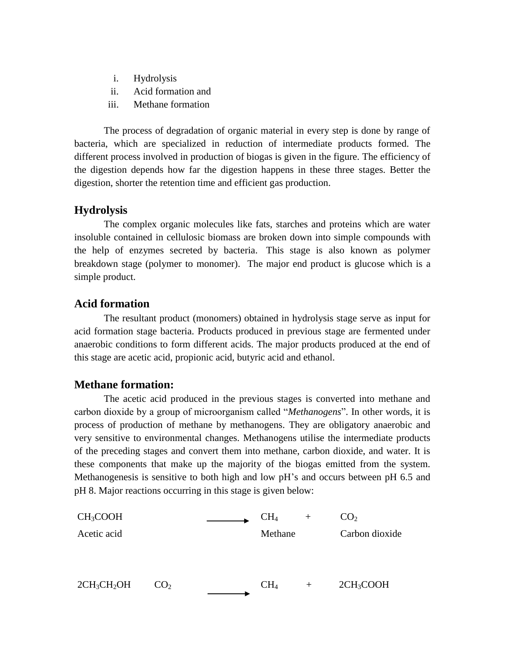- i. Hydrolysis
- ii. Acid formation and
- iii. Methane formation

The process of degradation of organic material in every step is done by range of bacteria, which are specialized in reduction of intermediate products formed. The different process involved in production of biogas is given in the figure. The efficiency of the digestion depends how far the digestion happens in these three stages. Better the digestion, shorter the retention time and efficient gas production.

# **Hydrolysis**

The complex organic molecules like fats, starches and proteins which are water insoluble contained in cellulosic biomass are broken down into simple compounds with the help of enzymes secreted by bacteria. This stage is also known as polymer breakdown stage (polymer to monomer). The major end product is glucose which is a simple product.

# **Acid formation**

The resultant product (monomers) obtained in hydrolysis stage serve as input for acid formation stage bacteria. Products produced in previous stage are fermented under anaerobic conditions to form different acids. The major products produced at the end of this stage are acetic acid, propionic acid, butyric acid and ethanol.

# **Methane formation:**

The acetic acid produced in the previous stages is converted into methane and carbon dioxide by a group of microorganism called "*Methanogens*". In other words, it is process of production of methane by methanogens. They are obligatory anaerobic and very sensitive to environmental changes. Methanogens utilise the intermediate products of the preceding stages and convert them into methane, carbon dioxide, and water. It is these components that make up the majority of the biogas emitted from the system. Methanogenesis is sensitive to both high and low pH's and occurs between pH 6.5 and pH 8. Major reactions occurring in this stage is given below:

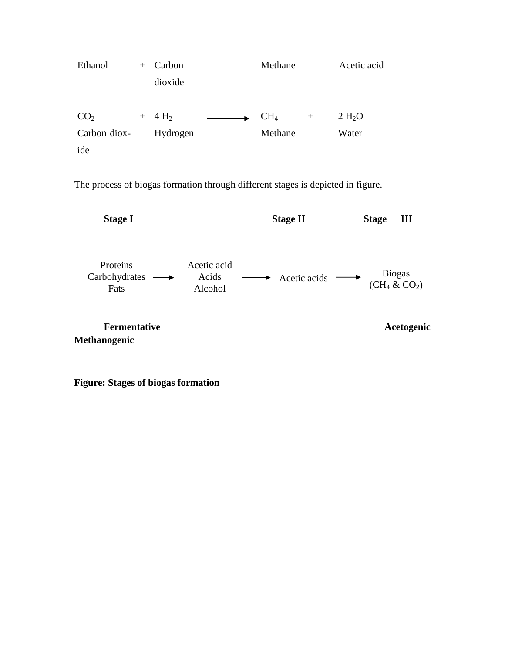| Ethanol         | $^{+}$ | Carbon           |  | Methane         |        | Acetic acid        |
|-----------------|--------|------------------|--|-----------------|--------|--------------------|
|                 |        | dioxide          |  |                 |        |                    |
|                 |        |                  |  |                 |        |                    |
| CO <sub>2</sub> | $+$    | 4 H <sub>2</sub> |  | CH <sub>4</sub> | $^{+}$ | 2 H <sub>2</sub> O |
| Carbon diox-    |        | Hydrogen         |  | Methane         |        | Water              |
| ide             |        |                  |  |                 |        |                    |

The process of biogas formation through different stages is depicted in figure.



**Figure: Stages of biogas formation**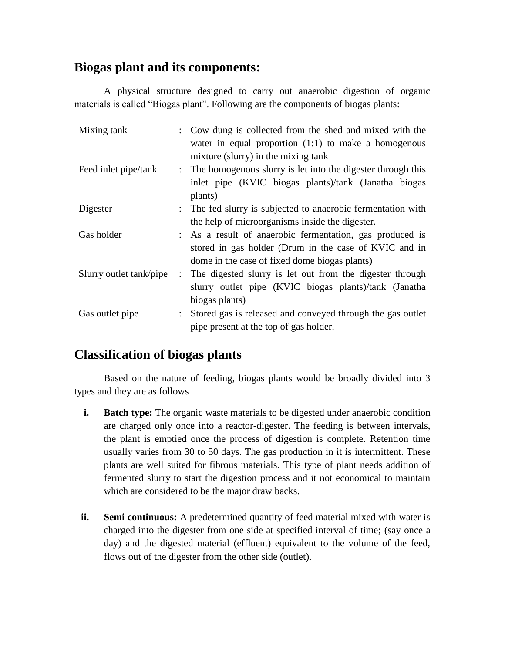# **Biogas plant and its components:**

A physical structure designed to carry out anaerobic digestion of organic materials is called "Biogas plant". Following are the components of biogas plants:

| Mixing tank             |  | : Cow dung is collected from the shed and mixed with the      |
|-------------------------|--|---------------------------------------------------------------|
|                         |  | water in equal proportion $(1:1)$ to make a homogenous        |
|                         |  | mixture (slurry) in the mixing tank                           |
| Feed inlet pipe/tank    |  | : The homogenous slurry is let into the digester through this |
|                         |  | inlet pipe (KVIC biogas plants)/tank (Janatha biogas          |
|                         |  | plants)                                                       |
| Digester                |  | : The fed slurry is subjected to anaerobic fermentation with  |
|                         |  | the help of microorganisms inside the digester.               |
| Gas holder              |  | : As a result of anaerobic fermentation, gas produced is      |
|                         |  | stored in gas holder (Drum in the case of KVIC and in         |
|                         |  | dome in the case of fixed dome biogas plants)                 |
| Slurry outlet tank/pipe |  | : The digested slurry is let out from the digester through    |
|                         |  | slurry outlet pipe (KVIC biogas plants)/tank (Janatha         |
|                         |  | biogas plants)                                                |
| Gas outlet pipe         |  | Stored gas is released and conveyed through the gas outlet    |
|                         |  | pipe present at the top of gas holder.                        |

# **Classification of biogas plants**

Based on the nature of feeding, biogas plants would be broadly divided into 3 types and they are as follows

- **i. Batch type:** The organic waste materials to be digested under anaerobic condition are charged only once into a reactor-digester. The feeding is between intervals, the plant is emptied once the process of digestion is complete. Retention time usually varies from 30 to 50 days. The gas production in it is intermittent. These plants are well suited for fibrous materials. This type of plant needs addition of fermented slurry to start the digestion process and it not economical to maintain which are considered to be the major draw backs.
- **ii. Semi continuous:** A predetermined quantity of feed material mixed with water is charged into the digester from one side at specified interval of time; (say once a day) and the digested material (effluent) equivalent to the volume of the feed, flows out of the digester from the other side (outlet).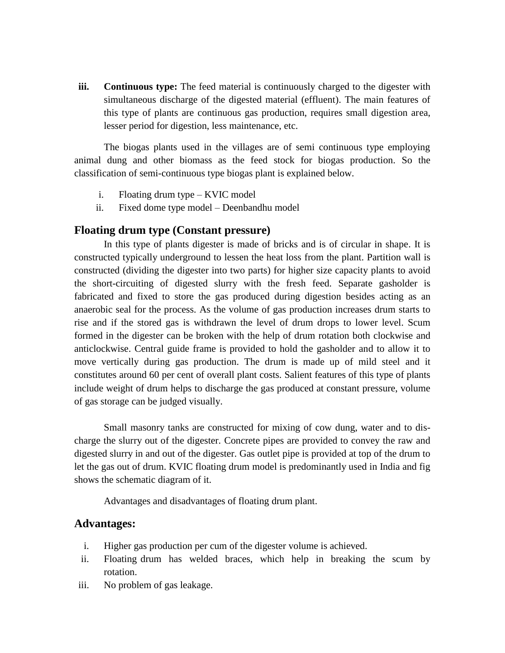**iii. Continuous type:** The feed material is continuously charged to the digester with simultaneous discharge of the digested material (effluent). The main features of this type of plants are continuous gas production, requires small digestion area, lesser period for digestion, less maintenance, etc.

The biogas plants used in the villages are of semi continuous type employing animal dung and other biomass as the feed stock for biogas production. So the classification of semi-continuous type biogas plant is explained below.

- i. Floating drum type KVIC model
- ii. Fixed dome type model Deenbandhu model

## **Floating drum type (Constant pressure)**

In this type of plants digester is made of bricks and is of circular in shape. It is constructed typically underground to lessen the heat loss from the plant. Partition wall is constructed (dividing the digester into two parts) for higher size capacity plants to avoid the short-circuiting of digested slurry with the fresh feed. Separate gasholder is fabricated and fixed to store the gas produced during digestion besides acting as an anaerobic seal for the process. As the volume of gas production increases drum starts to rise and if the stored gas is withdrawn the level of drum drops to lower level. Scum formed in the digester can be broken with the help of drum rotation both clockwise and anticlockwise. Central guide frame is provided to hold the gasholder and to allow it to move vertically during gas production. The drum is made up of mild steel and it constitutes around 60 per cent of overall plant costs. Salient features of this type of plants include weight of drum helps to discharge the gas produced at constant pressure, volume of gas storage can be judged visually.

Small masonry tanks are constructed for mixing of cow dung, water and to discharge the slurry out of the digester. Concrete pipes are provided to convey the raw and digested slurry in and out of the digester. Gas outlet pipe is provided at top of the drum to let the gas out of drum. KVIC floating drum model is predominantly used in India and fig shows the schematic diagram of it.

Advantages and disadvantages of floating drum plant.

#### **Advantages:**

- i. Higher gas production per cum of the digester volume is achieved.
- ii. Floating drum has welded braces, which help in breaking the scum by rotation.
- iii. No problem of gas leakage.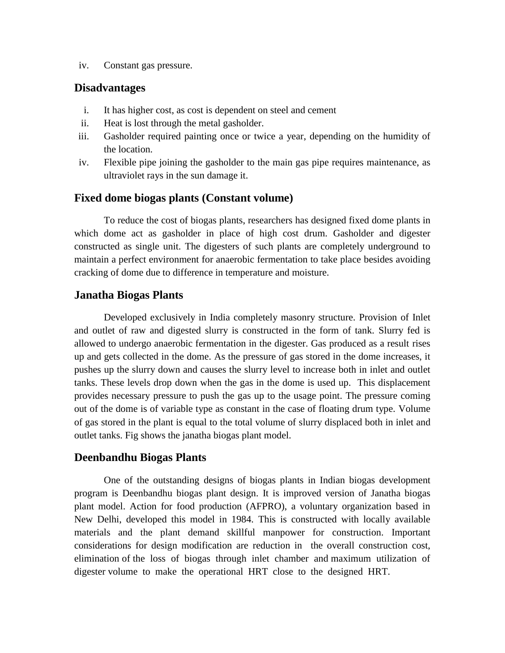iv. Constant gas pressure.

## **Disadvantages**

- i. It has higher cost, as cost is dependent on steel and cement
- ii. Heat is lost through the metal gasholder.
- iii. Gasholder required painting once or twice a year, depending on the humidity of the location.
- iv. Flexible pipe joining the gasholder to the main gas pipe requires maintenance, as ultraviolet rays in the sun damage it.

#### **Fixed dome biogas plants (Constant volume)**

To reduce the cost of biogas plants, researchers has designed fixed dome plants in which dome act as gasholder in place of high cost drum. Gasholder and digester constructed as single unit. The digesters of such plants are completely underground to maintain a perfect environment for anaerobic fermentation to take place besides avoiding cracking of dome due to difference in temperature and moisture.

### **Janatha Biogas Plants**

Developed exclusively in India completely masonry structure. Provision of Inlet and outlet of raw and digested slurry is constructed in the form of tank. Slurry fed is allowed to undergo anaerobic fermentation in the digester. Gas produced as a result rises up and gets collected in the dome. As the pressure of gas stored in the dome increases, it pushes up the slurry down and causes the slurry level to increase both in inlet and outlet tanks. These levels drop down when the gas in the dome is used up. This displacement provides necessary pressure to push the gas up to the usage point. The pressure coming out of the dome is of variable type as constant in the case of floating drum type. Volume of gas stored in the plant is equal to the total volume of slurry displaced both in inlet and outlet tanks. Fig shows the janatha biogas plant model.

### **Deenbandhu Biogas Plants**

One of the outstanding designs of biogas plants in Indian biogas development program is Deenbandhu biogas plant design. It is improved version of Janatha biogas plant model. Action for food production (AFPRO), a voluntary organization based in New Delhi, developed this model in 1984. This is constructed with locally available materials and the plant demand skillful manpower for construction. Important considerations for design modification are reduction in the overall construction cost, elimination of the loss of biogas through inlet chamber and maximum utilization of digester volume to make the operational HRT close to the designed HRT.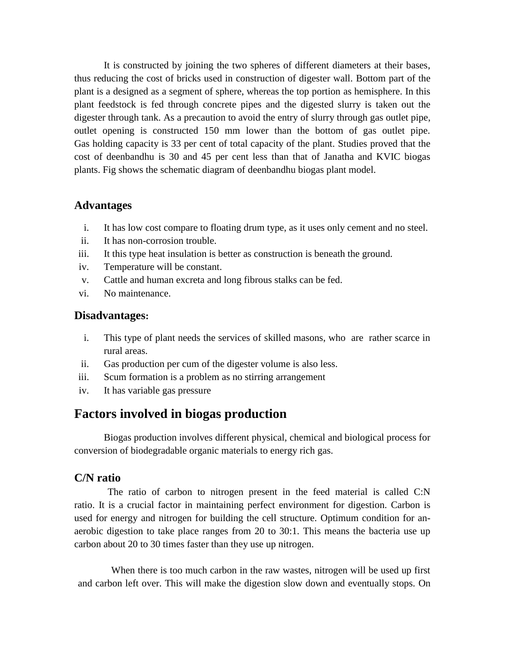It is constructed by joining the two spheres of different diameters at their bases, thus reducing the cost of bricks used in construction of digester wall. Bottom part of the plant is a designed as a segment of sphere, whereas the top portion as hemisphere. In this plant feedstock is fed through concrete pipes and the digested slurry is taken out the digester through tank. As a precaution to avoid the entry of slurry through gas outlet pipe, outlet opening is constructed 150 mm lower than the bottom of gas outlet pipe. Gas holding capacity is 33 per cent of total capacity of the plant. Studies proved that the cost of deenbandhu is 30 and 45 per cent less than that of Janatha and KVIC biogas plants. Fig shows the schematic diagram of deenbandhu biogas plant model.

## **Advantages**

- i. It has low cost compare to floating drum type, as it uses only cement and no steel.
- ii. It has non-corrosion trouble.
- iii. It this type heat insulation is better as construction is beneath the ground.
- iv. Temperature will be constant.
- v. Cattle and human excreta and long fibrous stalks can be fed.
- vi. No maintenance.

#### **Disadvantages:**

- i. This type of plant needs the services of skilled masons, who are rather scarce in rural areas.
- ii. Gas production per cum of the digester volume is also less.
- iii. Scum formation is a problem as no stirring arrangement
- iv. It has variable gas pressure

# **Factors involved in biogas production**

Biogas production involves different physical, chemical and biological process for conversion of biodegradable organic materials to energy rich gas.

## **C/N ratio**

The ratio of carbon to nitrogen present in the feed material is called C:N ratio. It is a crucial factor in maintaining perfect environment for digestion. Carbon is used for energy and nitrogen for building the cell structure. Optimum condition for anaerobic digestion to take place ranges from 20 to 30:1. This means the bacteria use up carbon about 20 to 30 times faster than they use up nitrogen.

When there is too much carbon in the raw wastes, nitrogen will be used up first and carbon left over. This will make the digestion slow down and eventually stops. On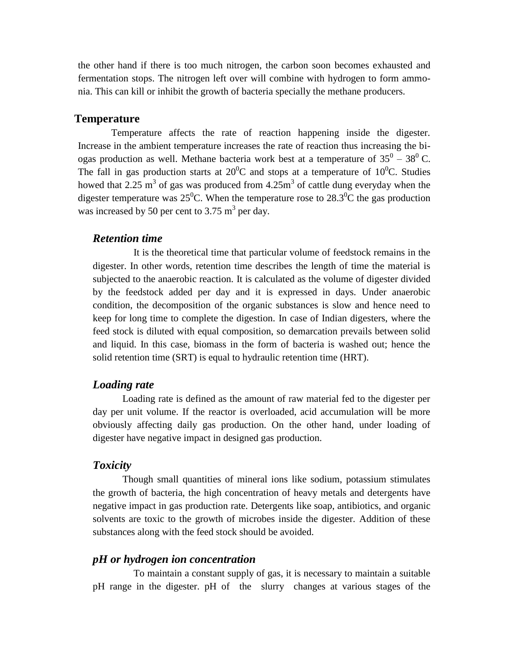the other hand if there is too much nitrogen, the carbon soon becomes exhausted and fermentation stops. The nitrogen left over will combine with hydrogen to form ammonia. This can kill or inhibit the growth of bacteria specially the methane producers.

### **Temperature**

Temperature affects the rate of reaction happening inside the digester. Increase in the ambient temperature increases the rate of reaction thus increasing the biogas production as well. Methane bacteria work best at a temperature of  $35^0 - 38^0$  C. The fall in gas production starts at  $20^0C$  and stops at a temperature of  $10^0C$ . Studies howed that 2.25 m<sup>3</sup> of gas was produced from  $4.25m<sup>3</sup>$  of cattle dung everyday when the digester temperature was  $25^{\circ}$ C. When the temperature rose to  $28.3^{\circ}$ C the gas production was increased by 50 per cent to 3.75  $m<sup>3</sup>$  per day.

#### *Retention time*

It is the theoretical time that particular volume of feedstock remains in the digester. In other words, retention time describes the length of time the material is subjected to the anaerobic reaction. It is calculated as the volume of digester divided by the feedstock added per day and it is expressed in days. Under anaerobic condition, the decomposition of the organic substances is slow and hence need to keep for long time to complete the digestion. In case of Indian digesters, where the feed stock is diluted with equal composition, so demarcation prevails between solid and liquid. In this case, biomass in the form of bacteria is washed out; hence the solid retention time (SRT) is equal to hydraulic retention time (HRT).

#### *Loading rate*

Loading rate is defined as the amount of raw material fed to the digester per day per unit volume. If the reactor is overloaded, acid accumulation will be more obviously affecting daily gas production. On the other hand, under loading of digester have negative impact in designed gas production.

## *Toxicity*

Though small quantities of mineral ions like sodium, potassium stimulates the growth of bacteria, the high concentration of heavy metals and detergents have negative impact in gas production rate. Detergents like soap, antibiotics, and organic solvents are toxic to the growth of microbes inside the digester. Addition of these substances along with the feed stock should be avoided.

#### *pH or hydrogen ion concentration*

To maintain a constant supply of gas, it is necessary to maintain a suitable pH range in the digester. pH of the slurry changes at various stages of the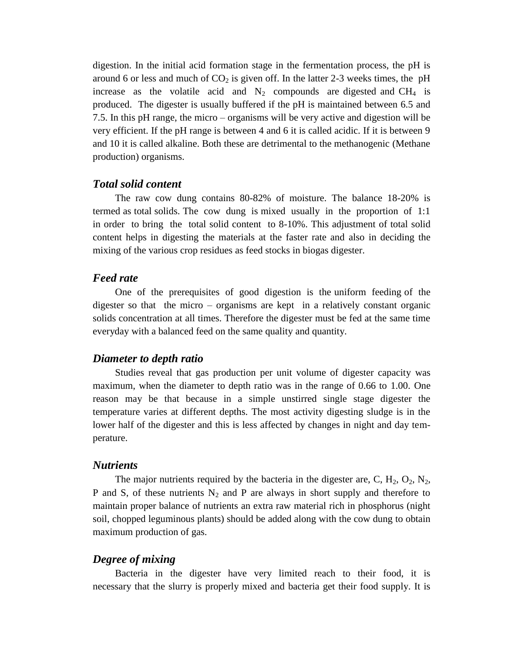digestion. In the initial acid formation stage in the fermentation process, the pH is around 6 or less and much of  $CO<sub>2</sub>$  is given off. In the latter 2-3 weeks times, the pH increase as the volatile acid and  $N_2$  compounds are digested and CH<sub>4</sub> is produced. The digester is usually buffered if the pH is maintained between 6.5 and 7.5. In this pH range, the micro – organisms will be very active and digestion will be very efficient. If the pH range is between 4 and 6 it is called acidic. If it is between 9 and 10 it is called alkaline. Both these are detrimental to the methanogenic (Methane production) organisms.

#### *Total solid content*

The raw cow dung contains 80-82% of moisture. The balance 18-20% is termed as total solids. The cow dung is mixed usually in the proportion of 1:1 in order to bring the total solid content to 8-10%. This adjustment of total solid content helps in digesting the materials at the faster rate and also in deciding the mixing of the various crop residues as feed stocks in biogas digester.

#### *Feed rate*

One of the prerequisites of good digestion is the uniform feeding of the digester so that the micro – organisms are kept in a relatively constant organic solids concentration at all times. Therefore the digester must be fed at the same time everyday with a balanced feed on the same quality and quantity.

#### *Diameter to depth ratio*

Studies reveal that gas production per unit volume of digester capacity was maximum, when the diameter to depth ratio was in the range of 0.66 to 1.00. One reason may be that because in a simple unstirred single stage digester the temperature varies at different depths. The most activity digesting sludge is in the lower half of the digester and this is less affected by changes in night and day temperature.

#### *Nutrients*

The major nutrients required by the bacteria in the digester are, C,  $H_2$ ,  $O_2$ ,  $N_2$ , P and S, of these nutrients  $N_2$  and P are always in short supply and therefore to maintain proper balance of nutrients an extra raw material rich in phosphorus (night soil, chopped leguminous plants) should be added along with the cow dung to obtain maximum production of gas.

#### *Degree of mixing*

Bacteria in the digester have very limited reach to their food, it is necessary that the slurry is properly mixed and bacteria get their food supply. It is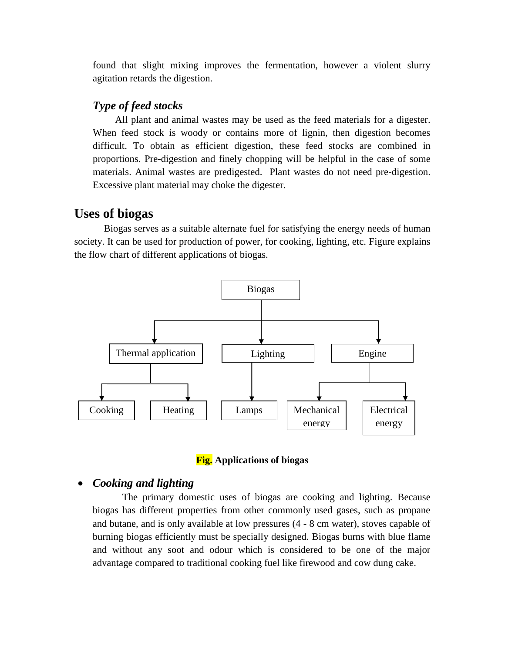found that slight mixing improves the fermentation, however a violent slurry agitation retards the digestion.

## *Type of feed stocks*

All plant and animal wastes may be used as the feed materials for a digester. When feed stock is woody or contains more of lignin, then digestion becomes difficult. To obtain as efficient digestion, these feed stocks are combined in proportions. Pre-digestion and finely chopping will be helpful in the case of some materials. Animal wastes are predigested. Plant wastes do not need pre-digestion. Excessive plant material may choke the digester.

# **Uses of biogas**

Biogas serves as a suitable alternate fuel for satisfying the energy needs of human society. It can be used for production of power, for cooking, lighting, etc. Figure explains the flow chart of different applications of biogas.





# *Cooking and lighting*

The primary domestic uses of biogas are cooking and lighting. Because biogas has different properties from other commonly used gases, such as propane and butane, and is only available at low pressures (4 - 8 cm water), stoves capable of burning biogas efficiently must be specially designed. Biogas burns with blue flame and without any soot and odour which is considered to be one of the major advantage compared to traditional cooking fuel like firewood and cow dung cake.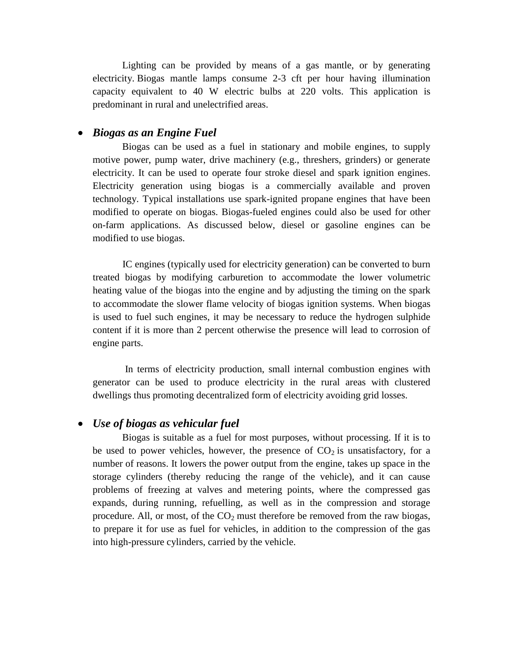Lighting can be provided by means of a gas mantle, or by generating electricity. Biogas mantle lamps consume 2-3 cft per hour having illumination capacity equivalent to 40 W electric bulbs at 220 volts. This application is predominant in rural and unelectrified areas.

## *Biogas as an Engine Fuel*

Biogas can be used as a fuel in stationary and mobile engines, to supply motive power, pump water, drive machinery (e.g., threshers, grinders) or generate electricity. It can be used to operate four stroke diesel and spark ignition engines. Electricity generation using biogas is a commercially available and proven technology. Typical installations use spark-ignited propane engines that have been modified to operate on biogas. Biogas-fueled engines could also be used for other on-farm applications. As discussed below, diesel or gasoline engines can be modified to use biogas.

IC engines (typically used for electricity generation) can be converted to burn treated biogas by modifying carburetion to accommodate the lower volumetric heating value of the biogas into the engine and by adjusting the timing on the spark to accommodate the slower flame velocity of biogas ignition systems. When biogas is used to fuel such engines, it may be necessary to reduce the hydrogen sulphide content if it is more than 2 percent otherwise the presence will lead to corrosion of engine parts.

In terms of electricity production, small internal combustion engines with generator can be used to produce electricity in the rural areas with clustered dwellings thus promoting decentralized form of electricity avoiding grid losses.

## *Use of biogas as vehicular fuel*

Biogas is suitable as a fuel for most purposes, without processing. If it is to be used to power vehicles, however, the presence of  $CO<sub>2</sub>$  is unsatisfactory, for a number of reasons. It lowers the power output from the engine, takes up space in the storage cylinders (thereby reducing the range of the vehicle), and it can cause problems of freezing at valves and metering points, where the compressed gas expands, during running, refuelling, as well as in the compression and storage procedure. All, or most, of the  $CO<sub>2</sub>$  must therefore be removed from the raw biogas, to prepare it for use as fuel for vehicles, in addition to the compression of the gas into high-pressure cylinders, carried by the vehicle.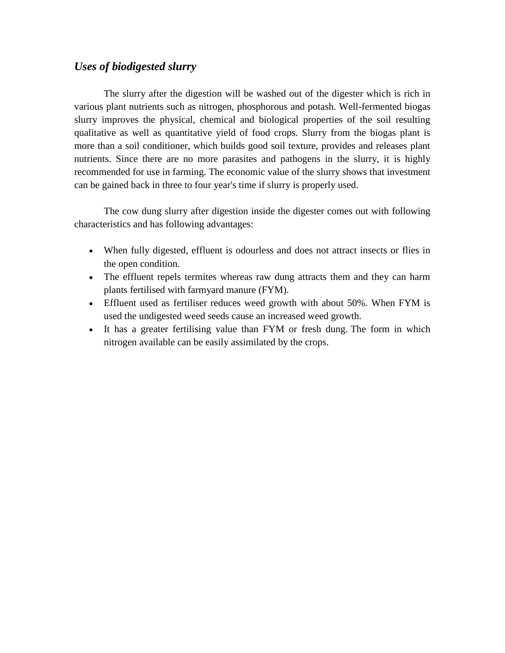# *Uses of biodigested slurry*

The slurry after the digestion will be washed out of the digester which is rich in various plant nutrients such as nitrogen, phosphorous and potash. Well-fermented biogas slurry improves the physical, chemical and biological properties of the soil resulting qualitative as well as quantitative yield of food crops. Slurry from the biogas plant is more than a soil conditioner, which builds good soil texture, provides and releases plant nutrients. Since there are no more parasites and pathogens in the slurry, it is highly recommended for use in farming. The economic value of the slurry shows that investment can be gained back in three to four year's time if slurry is properly used.

The cow dung slurry after digestion inside the digester comes out with following characteristics and has following advantages:

- When fully digested, effluent is odourless and does not attract insects or flies in the open condition.
- The effluent repels termites whereas raw dung attracts them and they can harm plants fertilised with farmyard manure (FYM).
- Effluent used as fertiliser reduces weed growth with about 50%. When FYM is used the undigested weed seeds cause an increased weed growth.
- It has a greater fertilising value than FYM or fresh dung. The form in which nitrogen available can be easily assimilated by the crops.